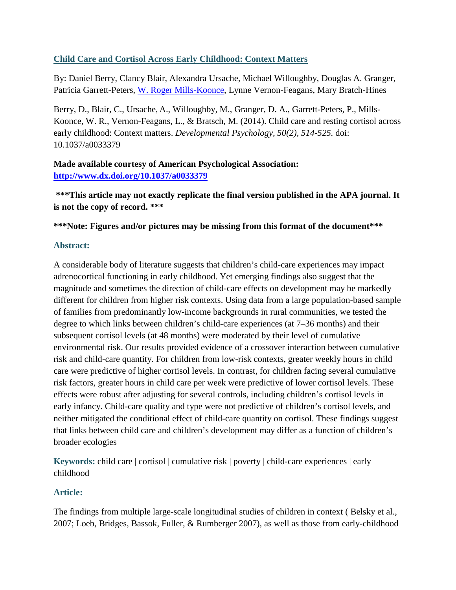# **Child Care and Cortisol Across Early Childhood: Context Matters**

By: Daniel Berry, Clancy Blair, Alexandra Ursache, Michael Willoughby, Douglas A. Granger, Patricia Garrett-Peters, [W. Roger Mills-Koonce,](http://libres.uncg.edu/ir/uncg/clist.aspx?id=7888) Lynne Vernon-Feagans, Mary Bratch-Hines

Berry, D., Blair, C., Ursache, A., Willoughby, M., Granger, D. A., Garrett-Peters, P., Mills-Koonce, W. R., Vernon-Feagans, L., & Bratsch, M. (2014). Child care and resting cortisol across early childhood: Context matters. *Developmental Psychology, 50(2), 514-525.* doi: 10.1037/a0033379

**Made available courtesy of American Psychological Association: <http://www.dx.doi.org/10.1037/a0033379>**

**\*\*\*This article may not exactly replicate the final version published in the APA journal. It is not the copy of record. \*\*\***

## **\*\*\*Note: Figures and/or pictures may be missing from this format of the document\*\*\***

## **Abstract:**

A considerable body of literature suggests that children's child-care experiences may impact adrenocortical functioning in early childhood. Yet emerging findings also suggest that the magnitude and sometimes the direction of child-care effects on development may be markedly different for children from higher risk contexts. Using data from a large population-based sample of families from predominantly low-income backgrounds in rural communities, we tested the degree to which links between children's child-care experiences (at 7–36 months) and their subsequent cortisol levels (at 48 months) were moderated by their level of cumulative environmental risk. Our results provided evidence of a crossover interaction between cumulative risk and child-care quantity. For children from low-risk contexts, greater weekly hours in child care were predictive of higher cortisol levels. In contrast, for children facing several cumulative risk factors, greater hours in child care per week were predictive of lower cortisol levels. These effects were robust after adjusting for several controls, including children's cortisol levels in early infancy. Child-care quality and type were not predictive of children's cortisol levels, and neither mitigated the conditional effect of child-care quantity on cortisol. These findings suggest that links between child care and children's development may differ as a function of children's broader ecologies

**Keywords:** child care | cortisol | cumulative risk | poverty | child-care experiences | early childhood

## **Article:**

The findings from multiple large-scale longitudinal studies of children in context ( Belsky et al., 2007; Loeb, Bridges, Bassok, Fuller, & Rumberger 2007), as well as those from early-childhood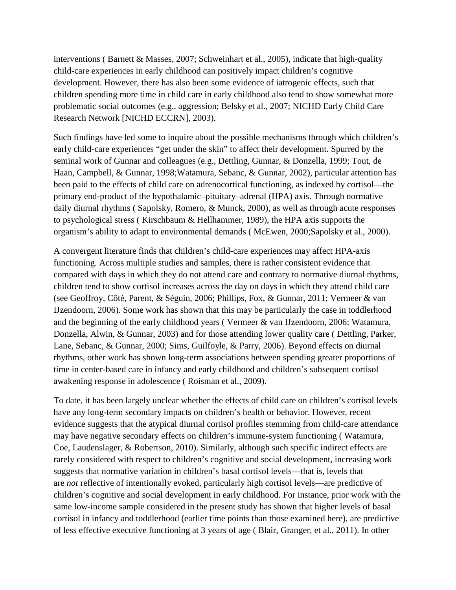interventions ( Barnett & Masses, 2007; Schweinhart et al., 2005), indicate that high-quality child-care experiences in early childhood can positively impact children's cognitive development. However, there has also been some evidence of iatrogenic effects, such that children spending more time in child care in early childhood also tend to show somewhat more problematic social outcomes (e.g., aggression; Belsky et al., 2007; NICHD Early Child Care Research Network [NICHD ECCRN], 2003).

Such findings have led some to inquire about the possible mechanisms through which children's early child-care experiences "get under the skin" to affect their development. Spurred by the seminal work of Gunnar and colleagues (e.g., Dettling, Gunnar, & Donzella, 1999; Tout, de Haan, Campbell, & Gunnar, 1998;Watamura, Sebanc, & Gunnar, 2002), particular attention has been paid to the effects of child care on adrenocortical functioning, as indexed by cortisol—the primary end-product of the hypothalamic–pituitary–adrenal (HPA) axis. Through normative daily diurnal rhythms ( Sapolsky, Romero, & Munck, 2000), as well as through acute responses to psychological stress ( Kirschbaum & Hellhammer, 1989), the HPA axis supports the organism's ability to adapt to environmental demands ( McEwen, 2000;Sapolsky et al., 2000).

A convergent literature finds that children's child-care experiences may affect HPA-axis functioning. Across multiple studies and samples, there is rather consistent evidence that compared with days in which they do not attend care and contrary to normative diurnal rhythms, children tend to show cortisol increases across the day on days in which they attend child care (see Geoffroy, Côté, Parent, & Séguin, 2006; Phillips, Fox, & Gunnar, 2011; Vermeer & van IJzendoorn, 2006). Some work has shown that this may be particularly the case in toddlerhood and the beginning of the early childhood years ( Vermeer & van IJzendoorn, 2006; Watamura, Donzella, Alwin, & Gunnar, 2003) and for those attending lower quality care ( Dettling, Parker, Lane, Sebanc, & Gunnar, 2000; Sims, Guilfoyle, & Parry, 2006). Beyond effects on diurnal rhythms, other work has shown long-term associations between spending greater proportions of time in center-based care in infancy and early childhood and children's subsequent cortisol awakening response in adolescence ( Roisman et al., 2009).

To date, it has been largely unclear whether the effects of child care on children's cortisol levels have any long-term secondary impacts on children's health or behavior. However, recent evidence suggests that the atypical diurnal cortisol profiles stemming from child-care attendance may have negative secondary effects on children's immune-system functioning ( Watamura, Coe, Laudenslager, & Robertson, 2010). Similarly, although such specific indirect effects are rarely considered with respect to children's cognitive and social development, increasing work suggests that normative variation in children's basal cortisol levels—that is, levels that are *not* reflective of intentionally evoked, particularly high cortisol levels—are predictive of children's cognitive and social development in early childhood. For instance, prior work with the same low-income sample considered in the present study has shown that higher levels of basal cortisol in infancy and toddlerhood (earlier time points than those examined here), are predictive of less effective executive functioning at 3 years of age ( Blair, Granger, et al., 2011). In other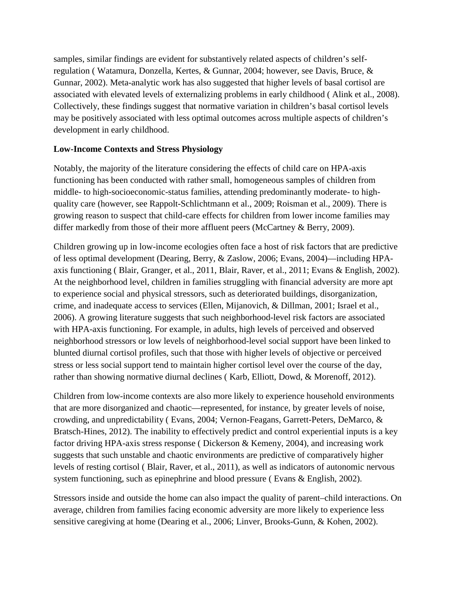samples, similar findings are evident for substantively related aspects of children's selfregulation ( Watamura, Donzella, Kertes, & Gunnar, 2004; however, see Davis, Bruce, & Gunnar, 2002). Meta-analytic work has also suggested that higher levels of basal cortisol are associated with elevated levels of externalizing problems in early childhood ( Alink et al., 2008). Collectively, these findings suggest that normative variation in children's basal cortisol levels may be positively associated with less optimal outcomes across multiple aspects of children's development in early childhood.

## **Low-Income Contexts and Stress Physiology**

Notably, the majority of the literature considering the effects of child care on HPA-axis functioning has been conducted with rather small, homogeneous samples of children from middle- to high-socioeconomic-status families, attending predominantly moderate- to highquality care (however, see Rappolt-Schlichtmann et al., 2009; Roisman et al., 2009). There is growing reason to suspect that child-care effects for children from lower income families may differ markedly from those of their more affluent peers (McCartney & Berry, 2009).

Children growing up in low-income ecologies often face a host of risk factors that are predictive of less optimal development (Dearing, Berry, & Zaslow, 2006; Evans, 2004)—including HPAaxis functioning ( Blair, Granger, et al., 2011, Blair, Raver, et al., 2011; Evans & English, 2002). At the neighborhood level, children in families struggling with financial adversity are more apt to experience social and physical stressors, such as deteriorated buildings, disorganization, crime, and inadequate access to services (Ellen, Mijanovich, & Dillman, 2001; Israel et al., 2006). A growing literature suggests that such neighborhood-level risk factors are associated with HPA-axis functioning. For example, in adults, high levels of perceived and observed neighborhood stressors or low levels of neighborhood-level social support have been linked to blunted diurnal cortisol profiles, such that those with higher levels of objective or perceived stress or less social support tend to maintain higher cortisol level over the course of the day, rather than showing normative diurnal declines ( Karb, Elliott, Dowd, & Morenoff, 2012).

Children from low-income contexts are also more likely to experience household environments that are more disorganized and chaotic—represented, for instance, by greater levels of noise, crowding, and unpredictability ( Evans, 2004; Vernon-Feagans, Garrett-Peters, DeMarco, & Bratsch-Hines, 2012). The inability to effectively predict and control experiential inputs is a key factor driving HPA-axis stress response (Dickerson & Kemeny, 2004), and increasing work suggests that such unstable and chaotic environments are predictive of comparatively higher levels of resting cortisol ( Blair, Raver, et al., 2011), as well as indicators of autonomic nervous system functioning, such as epinephrine and blood pressure ( Evans & English, 2002).

Stressors inside and outside the home can also impact the quality of parent–child interactions. On average, children from families facing economic adversity are more likely to experience less sensitive caregiving at home (Dearing et al., 2006; Linver, Brooks-Gunn, & Kohen, 2002).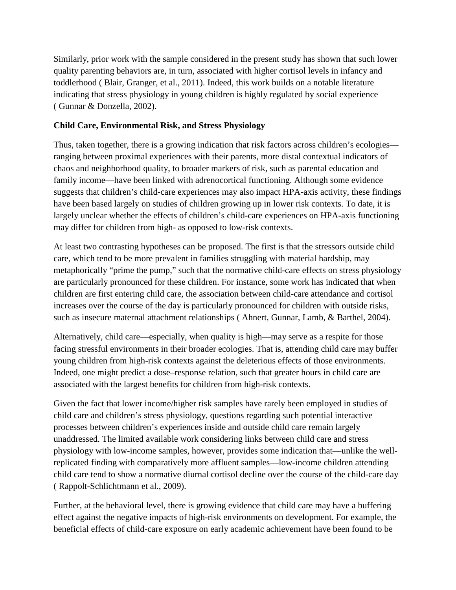Similarly, prior work with the sample considered in the present study has shown that such lower quality parenting behaviors are, in turn, associated with higher cortisol levels in infancy and toddlerhood ( Blair, Granger, et al., 2011). Indeed, this work builds on a notable literature indicating that stress physiology in young children is highly regulated by social experience ( Gunnar & Donzella, 2002).

# **Child Care, Environmental Risk, and Stress Physiology**

Thus, taken together, there is a growing indication that risk factors across children's ecologies ranging between proximal experiences with their parents, more distal contextual indicators of chaos and neighborhood quality, to broader markers of risk, such as parental education and family income—have been linked with adrenocortical functioning. Although some evidence suggests that children's child-care experiences may also impact HPA-axis activity, these findings have been based largely on studies of children growing up in lower risk contexts. To date, it is largely unclear whether the effects of children's child-care experiences on HPA-axis functioning may differ for children from high- as opposed to low-risk contexts.

At least two contrasting hypotheses can be proposed. The first is that the stressors outside child care, which tend to be more prevalent in families struggling with material hardship, may metaphorically "prime the pump," such that the normative child-care effects on stress physiology are particularly pronounced for these children. For instance, some work has indicated that when children are first entering child care, the association between child-care attendance and cortisol increases over the course of the day is particularly pronounced for children with outside risks, such as insecure maternal attachment relationships ( Ahnert, Gunnar, Lamb, & Barthel, 2004).

Alternatively, child care—especially, when quality is high—may serve as a respite for those facing stressful environments in their broader ecologies. That is, attending child care may buffer young children from high-risk contexts against the deleterious effects of those environments. Indeed, one might predict a dose–response relation, such that greater hours in child care are associated with the largest benefits for children from high-risk contexts.

Given the fact that lower income/higher risk samples have rarely been employed in studies of child care and children's stress physiology, questions regarding such potential interactive processes between children's experiences inside and outside child care remain largely unaddressed. The limited available work considering links between child care and stress physiology with low-income samples, however, provides some indication that—unlike the wellreplicated finding with comparatively more affluent samples—low-income children attending child care tend to show a normative diurnal cortisol decline over the course of the child-care day ( Rappolt-Schlichtmann et al., 2009).

Further, at the behavioral level, there is growing evidence that child care may have a buffering effect against the negative impacts of high-risk environments on development. For example, the beneficial effects of child-care exposure on early academic achievement have been found to be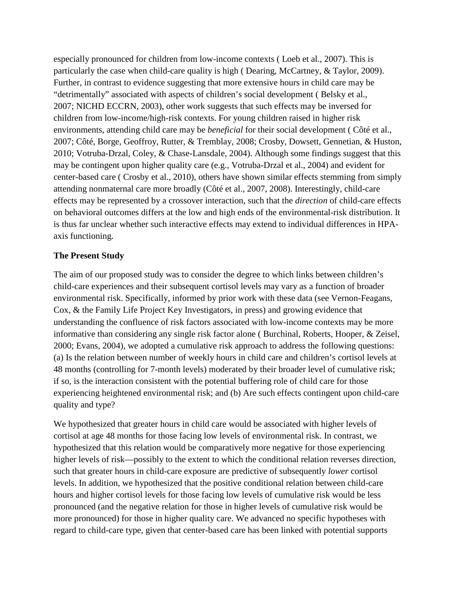especially pronounced for children from low-income contexts ( Loeb et al., 2007). This is particularly the case when child-care quality is high ( Dearing, McCartney, & Taylor, 2009). Further, in contrast to evidence suggesting that more extensive hours in child care may be "detrimentally" associated with aspects of children's social development ( Belsky et al., 2007; NICHD ECCRN, 2003), other work suggests that such effects may be inversed for children from low-income/high-risk contexts. For young children raised in higher risk environments, attending child care may be *beneficial* for their social development ( Côté et al., 2007; Côté, Borge, Geoffroy, Rutter, & Tremblay, 2008; Crosby, Dowsett, Gennetian, & Huston, 2010; Votruba-Drzal, Coley, & Chase-Lansdale, 2004). Although some findings suggest that this may be contingent upon higher quality care (e.g., Votruba-Drzal et al., 2004) and evident for center-based care ( Crosby et al., 2010), others have shown similar effects stemming from simply attending nonmaternal care more broadly (Côté et al., 2007, 2008). Interestingly, child-care effects may be represented by a crossover interaction, such that the *direction* of child-care effects on behavioral outcomes differs at the low and high ends of the environmental-risk distribution. It is thus far unclear whether such interactive effects may extend to individual differences in HPAaxis functioning.

## **The Present Study**

The aim of our proposed study was to consider the degree to which links between children's child-care experiences and their subsequent cortisol levels may vary as a function of broader environmental risk. Specifically, informed by prior work with these data (see Vernon-Feagans, Cox, & the Family Life Project Key Investigators, in press) and growing evidence that understanding the confluence of risk factors associated with low-income contexts may be more informative than considering any single risk factor alone ( Burchinal, Roberts, Hooper, & Zeisel, 2000; Evans, 2004), we adopted a cumulative risk approach to address the following questions: (a) Is the relation between number of weekly hours in child care and children's cortisol levels at 48 months (controlling for 7-month levels) moderated by their broader level of cumulative risk; if so, is the interaction consistent with the potential buffering role of child care for those experiencing heightened environmental risk; and (b) Are such effects contingent upon child-care quality and type?

We hypothesized that greater hours in child care would be associated with higher levels of cortisol at age 48 months for those facing low levels of environmental risk. In contrast, we hypothesized that this relation would be comparatively more negative for those experiencing higher levels of risk—possibly to the extent to which the conditional relation reverses direction, such that greater hours in child-care exposure are predictive of subsequently *lower* cortisol levels. In addition, we hypothesized that the positive conditional relation between child-care hours and higher cortisol levels for those facing low levels of cumulative risk would be less pronounced (and the negative relation for those in higher levels of cumulative risk would be more pronounced) for those in higher quality care. We advanced no specific hypotheses with regard to child-care type, given that center-based care has been linked with potential supports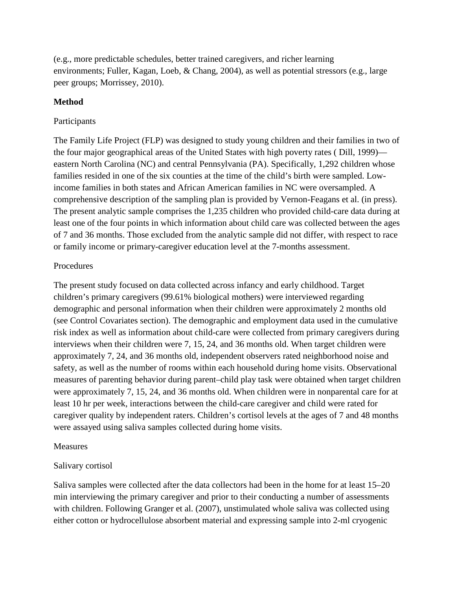(e.g., more predictable schedules, better trained caregivers, and richer learning environments; Fuller, Kagan, Loeb, & Chang, 2004), as well as potential stressors (e.g., large peer groups; Morrissey, 2010).

### **Method**

#### Participants

The Family Life Project (FLP) was designed to study young children and their families in two of the four major geographical areas of the United States with high poverty rates ( Dill, 1999) eastern North Carolina (NC) and central Pennsylvania (PA). Specifically, 1,292 children whose families resided in one of the six counties at the time of the child's birth were sampled. Lowincome families in both states and African American families in NC were oversampled. A comprehensive description of the sampling plan is provided by Vernon-Feagans et al. (in press). The present analytic sample comprises the 1,235 children who provided child-care data during at least one of the four points in which information about child care was collected between the ages of 7 and 36 months. Those excluded from the analytic sample did not differ, with respect to race or family income or primary-caregiver education level at the 7-months assessment.

#### **Procedures**

The present study focused on data collected across infancy and early childhood. Target children's primary caregivers (99.61% biological mothers) were interviewed regarding demographic and personal information when their children were approximately 2 months old (see Control Covariates section). The demographic and employment data used in the cumulative risk index as well as information about child-care were collected from primary caregivers during interviews when their children were 7, 15, 24, and 36 months old. When target children were approximately 7, 24, and 36 months old, independent observers rated neighborhood noise and safety, as well as the number of rooms within each household during home visits. Observational measures of parenting behavior during parent–child play task were obtained when target children were approximately 7, 15, 24, and 36 months old. When children were in nonparental care for at least 10 hr per week, interactions between the child-care caregiver and child were rated for caregiver quality by independent raters. Children's cortisol levels at the ages of 7 and 48 months were assayed using saliva samples collected during home visits.

#### Measures

## Salivary cortisol

Saliva samples were collected after the data collectors had been in the home for at least 15–20 min interviewing the primary caregiver and prior to their conducting a number of assessments with children. Following Granger et al. (2007), unstimulated whole saliva was collected using either cotton or hydrocellulose absorbent material and expressing sample into 2-ml cryogenic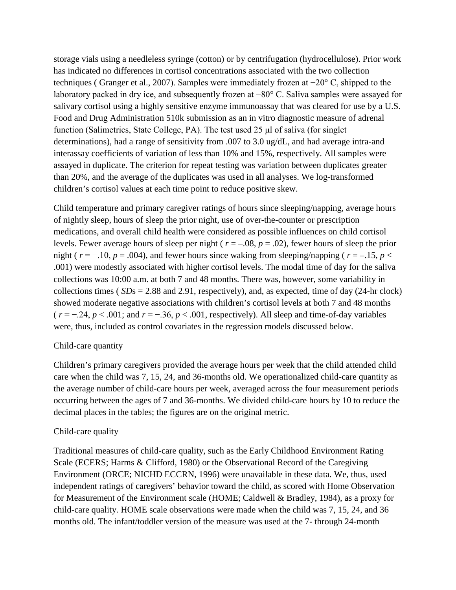storage vials using a needleless syringe (cotton) or by centrifugation (hydrocellulose). Prior work has indicated no differences in cortisol concentrations associated with the two collection techniques ( Granger et al., 2007). Samples were immediately frozen at −20° C, shipped to the laboratory packed in dry ice, and subsequently frozen at −80° C. Saliva samples were assayed for salivary cortisol using a highly sensitive enzyme immunoassay that was cleared for use by a U.S. Food and Drug Administration 510k submission as an in vitro diagnostic measure of adrenal function (Salimetrics, State College, PA). The test used 25 μl of saliva (for singlet determinations), had a range of sensitivity from .007 to 3.0 ug/dL, and had average intra-and interassay coefficients of variation of less than 10% and 15%, respectively. All samples were assayed in duplicate. The criterion for repeat testing was variation between duplicates greater than 20%, and the average of the duplicates was used in all analyses. We log-transformed children's cortisol values at each time point to reduce positive skew.

Child temperature and primary caregiver ratings of hours since sleeping/napping, average hours of nightly sleep, hours of sleep the prior night, use of over-the-counter or prescription medications, and overall child health were considered as possible influences on child cortisol levels. Fewer average hours of sleep per night ( *r* = –.08, *p* = .02), fewer hours of sleep the prior night ( $r = -10$ ,  $p = .004$ ), and fewer hours since waking from sleeping/napping ( $r = -15$ ,  $p <$ .001) were modestly associated with higher cortisol levels. The modal time of day for the saliva collections was 10:00 a.m. at both 7 and 48 months. There was, however, some variability in collections times ( *SD*s = 2.88 and 2.91, respectively), and, as expected, time of day (24-hr clock) showed moderate negative associations with children's cortisol levels at both 7 and 48 months  $(r = -0.24, p < 0.001$ ; and  $r = -0.36, p < 0.001$ , respectively). All sleep and time-of-day variables were, thus, included as control covariates in the regression models discussed below.

## Child-care quantity

Children's primary caregivers provided the average hours per week that the child attended child care when the child was 7, 15, 24, and 36-months old. We operationalized child-care quantity as the average number of child-care hours per week, averaged across the four measurement periods occurring between the ages of 7 and 36-months. We divided child-care hours by 10 to reduce the decimal places in the tables; the figures are on the original metric.

## Child-care quality

Traditional measures of child-care quality, such as the Early Childhood Environment Rating Scale (ECERS; Harms & Clifford, 1980) or the Observational Record of the Caregiving Environment (ORCE; NICHD ECCRN, 1996) were unavailable in these data. We, thus, used independent ratings of caregivers' behavior toward the child, as scored with Home Observation for Measurement of the Environment scale (HOME; Caldwell & Bradley, 1984), as a proxy for child-care quality. HOME scale observations were made when the child was 7, 15, 24, and 36 months old. The infant/toddler version of the measure was used at the 7- through 24-month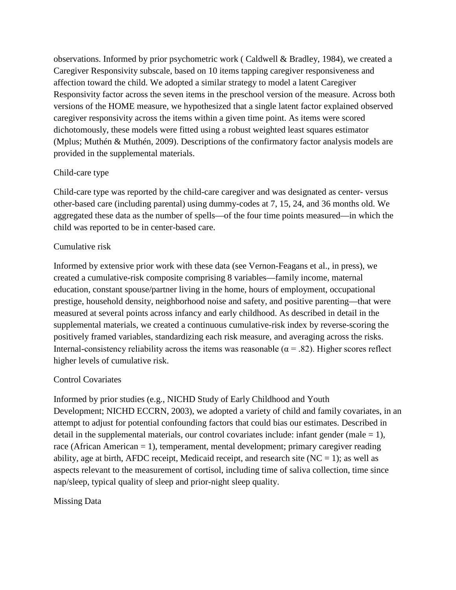observations. Informed by prior psychometric work ( Caldwell & Bradley, 1984), we created a Caregiver Responsivity subscale, based on 10 items tapping caregiver responsiveness and affection toward the child. We adopted a similar strategy to model a latent Caregiver Responsivity factor across the seven items in the preschool version of the measure. Across both versions of the HOME measure, we hypothesized that a single latent factor explained observed caregiver responsivity across the items within a given time point. As items were scored dichotomously, these models were fitted using a robust weighted least squares estimator (Mplus; Muthén & Muthén, 2009). Descriptions of the confirmatory factor analysis models are provided in the supplemental materials.

## Child-care type

Child-care type was reported by the child-care caregiver and was designated as center- versus other-based care (including parental) using dummy-codes at 7, 15, 24, and 36 months old. We aggregated these data as the number of spells—of the four time points measured—in which the child was reported to be in center-based care.

## Cumulative risk

Informed by extensive prior work with these data (see Vernon-Feagans et al., in press), we created a cumulative-risk composite comprising 8 variables—family income, maternal education, constant spouse/partner living in the home, hours of employment, occupational prestige, household density, neighborhood noise and safety, and positive parenting—that were measured at several points across infancy and early childhood. As described in detail in the supplemental materials, we created a continuous cumulative-risk index by reverse-scoring the positively framed variables, standardizing each risk measure, and averaging across the risks. Internal-consistency reliability across the items was reasonable ( $\alpha$  = .82). Higher scores reflect higher levels of cumulative risk.

## Control Covariates

Informed by prior studies (e.g., NICHD Study of Early Childhood and Youth Development; NICHD ECCRN, 2003), we adopted a variety of child and family covariates, in an attempt to adjust for potential confounding factors that could bias our estimates. Described in detail in the supplemental materials, our control covariates include: infant gender (male  $= 1$ ), race (African American = 1), temperament, mental development; primary caregiver reading ability, age at birth, AFDC receipt, Medicaid receipt, and research site  $(NC = 1)$ ; as well as aspects relevant to the measurement of cortisol, including time of saliva collection, time since nap/sleep, typical quality of sleep and prior-night sleep quality.

## Missing Data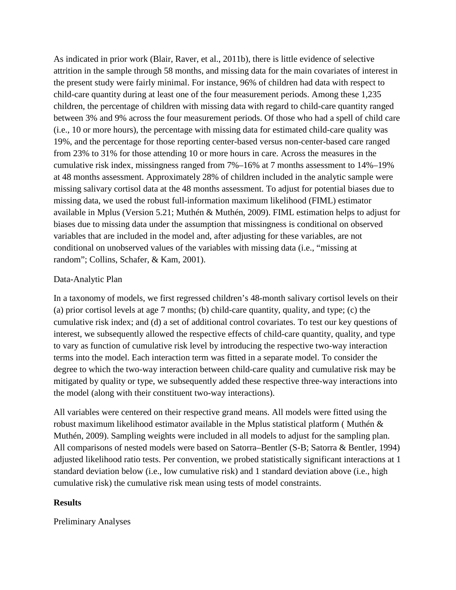As indicated in prior work (Blair, Raver, et al., 2011b), there is little evidence of selective attrition in the sample through 58 months, and missing data for the main covariates of interest in the present study were fairly minimal. For instance, 96% of children had data with respect to child-care quantity during at least one of the four measurement periods. Among these 1,235 children, the percentage of children with missing data with regard to child-care quantity ranged between 3% and 9% across the four measurement periods. Of those who had a spell of child care (i.e., 10 or more hours), the percentage with missing data for estimated child-care quality was 19%, and the percentage for those reporting center-based versus non-center-based care ranged from 23% to 31% for those attending 10 or more hours in care. Across the measures in the cumulative risk index, missingness ranged from 7%–16% at 7 months assessment to 14%–19% at 48 months assessment. Approximately 28% of children included in the analytic sample were missing salivary cortisol data at the 48 months assessment. To adjust for potential biases due to missing data, we used the robust full-information maximum likelihood (FIML) estimator available in Mplus (Version 5.21; Muthén & Muthén, 2009). FIML estimation helps to adjust for biases due to missing data under the assumption that missingness is conditional on observed variables that are included in the model and, after adjusting for these variables, are not conditional on unobserved values of the variables with missing data (i.e., "missing at random"; Collins, Schafer, & Kam, 2001).

#### Data-Analytic Plan

In a taxonomy of models, we first regressed children's 48-month salivary cortisol levels on their (a) prior cortisol levels at age 7 months; (b) child-care quantity, quality, and type; (c) the cumulative risk index; and (d) a set of additional control covariates. To test our key questions of interest, we subsequently allowed the respective effects of child-care quantity, quality, and type to vary as function of cumulative risk level by introducing the respective two-way interaction terms into the model. Each interaction term was fitted in a separate model. To consider the degree to which the two-way interaction between child-care quality and cumulative risk may be mitigated by quality or type, we subsequently added these respective three-way interactions into the model (along with their constituent two-way interactions).

All variables were centered on their respective grand means. All models were fitted using the robust maximum likelihood estimator available in the Mplus statistical platform (Muthén  $\&$ Muthén, 2009). Sampling weights were included in all models to adjust for the sampling plan. All comparisons of nested models were based on Satorra–Bentler (S-B; Satorra & Bentler, 1994) adjusted likelihood ratio tests. Per convention, we probed statistically significant interactions at 1 standard deviation below (i.e., low cumulative risk) and 1 standard deviation above (i.e., high cumulative risk) the cumulative risk mean using tests of model constraints.

#### **Results**

Preliminary Analyses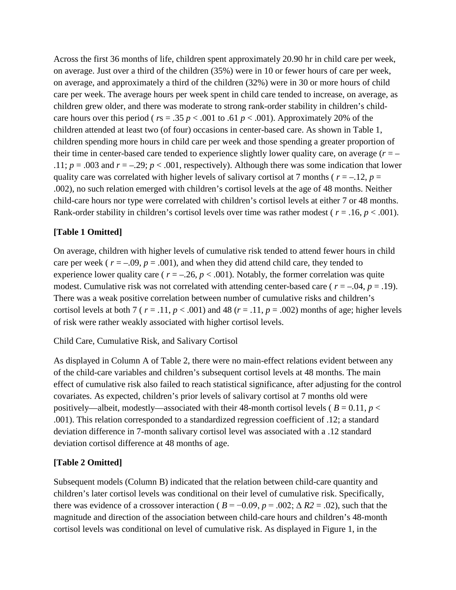Across the first 36 months of life, children spent approximately 20.90 hr in child care per week, on average. Just over a third of the children (35%) were in 10 or fewer hours of care per week, on average, and approximately a third of the children (32%) were in 30 or more hours of child care per week. The average hours per week spent in child care tended to increase, on average, as children grew older, and there was moderate to strong rank-order stability in children's childcare hours over this period ( $rs = .35 p < .001$  to .61  $p < .001$ ). Approximately 20% of the children attended at least two (of four) occasions in center-based care. As shown in Table 1, children spending more hours in child care per week and those spending a greater proportion of their time in center-based care tended to experience slightly lower quality care, on average  $(r = -1)$ .11;  $p = .003$  and  $r = -.29$ ;  $p < .001$ , respectively). Although there was some indication that lower quality care was correlated with higher levels of salivary cortisol at 7 months ( $r = -12$ ,  $p =$ .002), no such relation emerged with children's cortisol levels at the age of 48 months. Neither child-care hours nor type were correlated with children's cortisol levels at either 7 or 48 months. Rank-order stability in children's cortisol levels over time was rather modest ( $r = .16$ ,  $p < .001$ ).

# **[Table 1 Omitted]**

On average, children with higher levels of cumulative risk tended to attend fewer hours in child care per week ( $r = -.09$ ,  $p = .001$ ), and when they did attend child care, they tended to experience lower quality care ( $r = -0.26$ ,  $p < 0.001$ ). Notably, the former correlation was quite modest. Cumulative risk was not correlated with attending center-based care ( $r = -0.04$ ,  $p = 0.19$ ). There was a weak positive correlation between number of cumulative risks and children's cortisol levels at both 7 ( $r = .11$ ,  $p < .001$ ) and 48 ( $r = .11$ ,  $p = .002$ ) months of age; higher levels of risk were rather weakly associated with higher cortisol levels.

Child Care, Cumulative Risk, and Salivary Cortisol

As displayed in Column A of Table 2, there were no main-effect relations evident between any of the child-care variables and children's subsequent cortisol levels at 48 months. The main effect of cumulative risk also failed to reach statistical significance, after adjusting for the control covariates. As expected, children's prior levels of salivary cortisol at 7 months old were positively—albeit, modestly—associated with their 48-month cortisol levels ( $B = 0.11$ ,  $p <$ .001). This relation corresponded to a standardized regression coefficient of .12; a standard deviation difference in 7-month salivary cortisol level was associated with a .12 standard deviation cortisol difference at 48 months of age.

# **[Table 2 Omitted]**

Subsequent models (Column B) indicated that the relation between child-care quantity and children's later cortisol levels was conditional on their level of cumulative risk. Specifically, there was evidence of a crossover interaction ( $B = -0.09$ ,  $p = .002$ ;  $\Delta R2 = .02$ ), such that the magnitude and direction of the association between child-care hours and children's 48-month cortisol levels was conditional on level of cumulative risk. As displayed in Figure 1, in the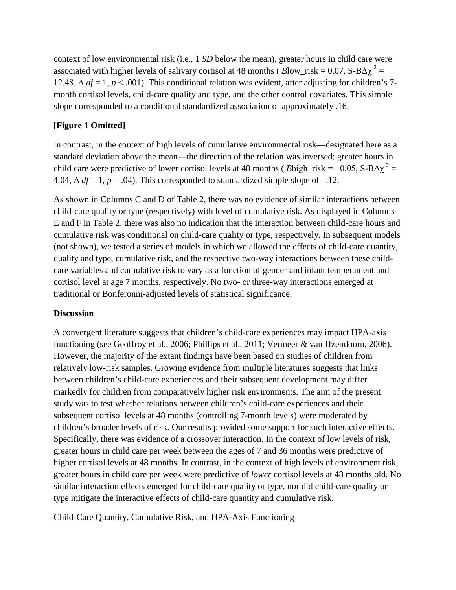context of low environmental risk (i.e., 1 *SD* below the mean), greater hours in child care were associated with higher levels of salivary cortisol at 48 months ( $B$ low\_risk = 0.07,  $S$ - $B\Delta\chi^2$  = 12.48,  $\Delta df = 1$ ,  $p < .001$ ). This conditional relation was evident, after adjusting for children's 7month cortisol levels, child-care quality and type, and the other control covariates. This simple slope corresponded to a conditional standardized association of approximately .16.

# **[Figure 1 Omitted]**

In contrast, in the context of high levels of cumulative environmental risk—designated here as a standard deviation above the mean—the direction of the relation was inversed; greater hours in child care were predictive of lower cortisol levels at 48 months (*Bhigh\_risk* =  $-0.05$ , S-B $\Delta \chi$ <sup>2</sup> = 4.04,  $\Delta df = 1$ ,  $p = .04$ ). This corresponded to standardized simple slope of -.12.

As shown in Columns C and D of Table 2, there was no evidence of similar interactions between child-care quality or type (respectively) with level of cumulative risk. As displayed in Columns E and F in Table 2, there was also no indication that the interaction between child-care hours and cumulative risk was conditional on child-care quality or type, respectively. In subsequent models (not shown), we tested a series of models in which we allowed the effects of child-care quantity, quality and type, cumulative risk, and the respective two-way interactions between these childcare variables and cumulative risk to vary as a function of gender and infant temperament and cortisol level at age 7 months, respectively. No two- or three-way interactions emerged at traditional or Bonferonni-adjusted levels of statistical significance.

## **Discussion**

A convergent literature suggests that children's child-care experiences may impact HPA-axis functioning (see Geoffroy et al., 2006; Phillips et al., 2011; Vermeer & van IJzendoorn, 2006). However, the majority of the extant findings have been based on studies of children from relatively low-risk samples. Growing evidence from multiple literatures suggests that links between children's child-care experiences and their subsequent development may differ markedly for children from comparatively higher risk environments. The aim of the present study was to test whether relations between children's child-care experiences and their subsequent cortisol levels at 48 months (controlling 7-month levels) were moderated by children's broader levels of risk. Our results provided some support for such interactive effects. Specifically, there was evidence of a crossover interaction. In the context of low levels of risk, greater hours in child care per week between the ages of 7 and 36 months were predictive of higher cortisol levels at 48 months. In contrast, in the context of high levels of environment risk, greater hours in child care per week were predictive of *lower* cortisol levels at 48 months old. No similar interaction effects emerged for child-care quality or type, nor did child-care quality or type mitigate the interactive effects of child-care quantity and cumulative risk.

Child-Care Quantity, Cumulative Risk, and HPA-Axis Functioning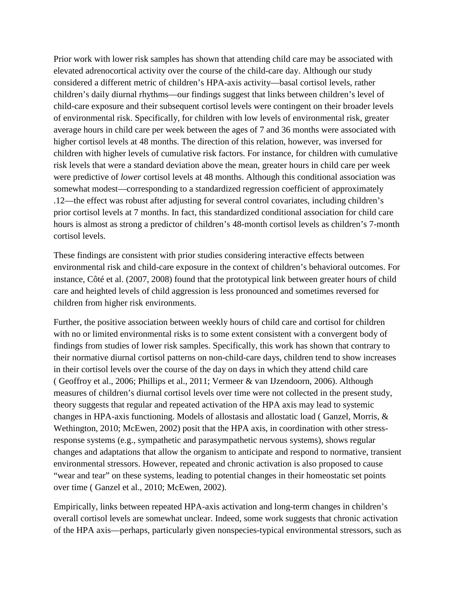Prior work with lower risk samples has shown that attending child care may be associated with elevated adrenocortical activity over the course of the child-care day. Although our study considered a different metric of children's HPA-axis activity—basal cortisol levels, rather children's daily diurnal rhythms—our findings suggest that links between children's level of child-care exposure and their subsequent cortisol levels were contingent on their broader levels of environmental risk. Specifically, for children with low levels of environmental risk, greater average hours in child care per week between the ages of 7 and 36 months were associated with higher cortisol levels at 48 months. The direction of this relation, however, was inversed for children with higher levels of cumulative risk factors. For instance, for children with cumulative risk levels that were a standard deviation above the mean, greater hours in child care per week were predictive of *lower* cortisol levels at 48 months. Although this conditional association was somewhat modest—corresponding to a standardized regression coefficient of approximately .12—the effect was robust after adjusting for several control covariates, including children's prior cortisol levels at 7 months. In fact, this standardized conditional association for child care hours is almost as strong a predictor of children's 48-month cortisol levels as children's 7-month cortisol levels.

These findings are consistent with prior studies considering interactive effects between environmental risk and child-care exposure in the context of children's behavioral outcomes. For instance, Côté et al. (2007, 2008) found that the prototypical link between greater hours of child care and heighted levels of child aggression is less pronounced and sometimes reversed for children from higher risk environments.

Further, the positive association between weekly hours of child care and cortisol for children with no or limited environmental risks is to some extent consistent with a convergent body of findings from studies of lower risk samples. Specifically, this work has shown that contrary to their normative diurnal cortisol patterns on non-child-care days, children tend to show increases in their cortisol levels over the course of the day on days in which they attend child care ( Geoffroy et al., 2006; Phillips et al., 2011; Vermeer & van IJzendoorn, 2006). Although measures of children's diurnal cortisol levels over time were not collected in the present study, theory suggests that regular and repeated activation of the HPA axis may lead to systemic changes in HPA-axis functioning. Models of allostasis and allostatic load ( Ganzel, Morris, & Wethington, 2010; McEwen, 2002) posit that the HPA axis, in coordination with other stressresponse systems (e.g., sympathetic and parasympathetic nervous systems), shows regular changes and adaptations that allow the organism to anticipate and respond to normative, transient environmental stressors. However, repeated and chronic activation is also proposed to cause "wear and tear" on these systems, leading to potential changes in their homeostatic set points over time ( Ganzel et al., 2010; McEwen, 2002).

Empirically, links between repeated HPA-axis activation and long-term changes in children's overall cortisol levels are somewhat unclear. Indeed, some work suggests that chronic activation of the HPA axis—perhaps, particularly given nonspecies-typical environmental stressors, such as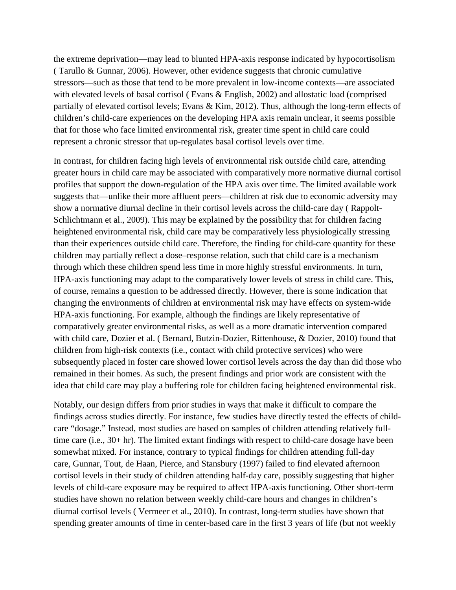the extreme deprivation—may lead to blunted HPA-axis response indicated by hypocortisolism ( Tarullo & Gunnar, 2006). However, other evidence suggests that chronic cumulative stressors—such as those that tend to be more prevalent in low-income contexts—are associated with elevated levels of basal cortisol ( Evans & English, 2002) and allostatic load (comprised partially of elevated cortisol levels; Evans & Kim, 2012). Thus, although the long-term effects of children's child-care experiences on the developing HPA axis remain unclear, it seems possible that for those who face limited environmental risk, greater time spent in child care could represent a chronic stressor that up-regulates basal cortisol levels over time.

In contrast, for children facing high levels of environmental risk outside child care, attending greater hours in child care may be associated with comparatively more normative diurnal cortisol profiles that support the down-regulation of the HPA axis over time. The limited available work suggests that—unlike their more affluent peers—children at risk due to economic adversity may show a normative diurnal decline in their cortisol levels across the child-care day ( Rappolt-Schlichtmann et al., 2009). This may be explained by the possibility that for children facing heightened environmental risk, child care may be comparatively less physiologically stressing than their experiences outside child care. Therefore, the finding for child-care quantity for these children may partially reflect a dose–response relation, such that child care is a mechanism through which these children spend less time in more highly stressful environments. In turn, HPA-axis functioning may adapt to the comparatively lower levels of stress in child care. This, of course, remains a question to be addressed directly. However, there is some indication that changing the environments of children at environmental risk may have effects on system-wide HPA-axis functioning. For example, although the findings are likely representative of comparatively greater environmental risks, as well as a more dramatic intervention compared with child care, Dozier et al. ( Bernard, Butzin-Dozier, Rittenhouse, & Dozier, 2010) found that children from high-risk contexts (i.e., contact with child protective services) who were subsequently placed in foster care showed lower cortisol levels across the day than did those who remained in their homes. As such, the present findings and prior work are consistent with the idea that child care may play a buffering role for children facing heightened environmental risk.

Notably, our design differs from prior studies in ways that make it difficult to compare the findings across studies directly. For instance, few studies have directly tested the effects of childcare "dosage." Instead, most studies are based on samples of children attending relatively fulltime care (i.e., 30+ hr). The limited extant findings with respect to child-care dosage have been somewhat mixed. For instance, contrary to typical findings for children attending full-day care, Gunnar, Tout, de Haan, Pierce, and Stansbury (1997) failed to find elevated afternoon cortisol levels in their study of children attending half-day care, possibly suggesting that higher levels of child-care exposure may be required to affect HPA-axis functioning. Other short-term studies have shown no relation between weekly child-care hours and changes in children's diurnal cortisol levels ( Vermeer et al., 2010). In contrast, long-term studies have shown that spending greater amounts of time in center-based care in the first 3 years of life (but not weekly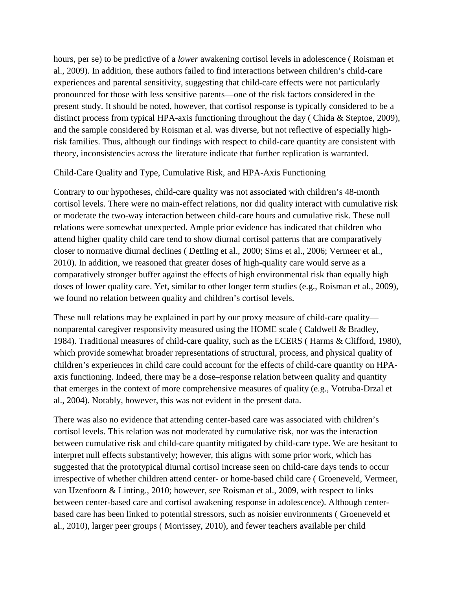hours, per se) to be predictive of a *lower* awakening cortisol levels in adolescence ( Roisman et al., 2009). In addition, these authors failed to find interactions between children's child-care experiences and parental sensitivity, suggesting that child-care effects were not particularly pronounced for those with less sensitive parents—one of the risk factors considered in the present study. It should be noted, however, that cortisol response is typically considered to be a distinct process from typical HPA-axis functioning throughout the day ( Chida & Steptoe, 2009), and the sample considered by Roisman et al. was diverse, but not reflective of especially highrisk families. Thus, although our findings with respect to child-care quantity are consistent with theory, inconsistencies across the literature indicate that further replication is warranted.

#### Child-Care Quality and Type, Cumulative Risk, and HPA-Axis Functioning

Contrary to our hypotheses, child-care quality was not associated with children's 48-month cortisol levels. There were no main-effect relations, nor did quality interact with cumulative risk or moderate the two-way interaction between child-care hours and cumulative risk. These null relations were somewhat unexpected. Ample prior evidence has indicated that children who attend higher quality child care tend to show diurnal cortisol patterns that are comparatively closer to normative diurnal declines ( Dettling et al., 2000; Sims et al., 2006; Vermeer et al., 2010). In addition, we reasoned that greater doses of high-quality care would serve as a comparatively stronger buffer against the effects of high environmental risk than equally high doses of lower quality care. Yet, similar to other longer term studies (e.g., Roisman et al., 2009), we found no relation between quality and children's cortisol levels.

These null relations may be explained in part by our proxy measure of child-care quality nonparental caregiver responsivity measured using the HOME scale ( Caldwell & Bradley, 1984). Traditional measures of child-care quality, such as the ECERS ( Harms & Clifford, 1980), which provide somewhat broader representations of structural, process, and physical quality of children's experiences in child care could account for the effects of child-care quantity on HPAaxis functioning. Indeed, there may be a dose–response relation between quality and quantity that emerges in the context of more comprehensive measures of quality (e.g., Votruba-Drzal et al., 2004). Notably, however, this was not evident in the present data.

There was also no evidence that attending center-based care was associated with children's cortisol levels. This relation was not moderated by cumulative risk, nor was the interaction between cumulative risk and child-care quantity mitigated by child-care type. We are hesitant to interpret null effects substantively; however, this aligns with some prior work, which has suggested that the prototypical diurnal cortisol increase seen on child-care days tends to occur irrespective of whether children attend center- or home-based child care ( Groeneveld, Vermeer, van IJzenfoorn & Linting., 2010; however, see Roisman et al., 2009, with respect to links between center-based care and cortisol awakening response in adolescence). Although centerbased care has been linked to potential stressors, such as noisier environments ( Groeneveld et al., 2010), larger peer groups ( Morrissey, 2010), and fewer teachers available per child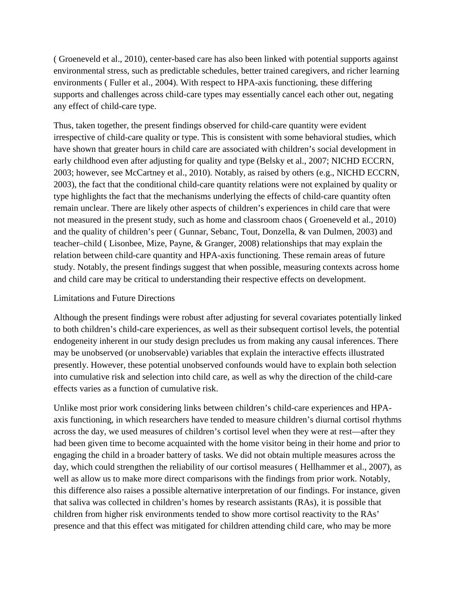( Groeneveld et al., 2010), center-based care has also been linked with potential supports against environmental stress, such as predictable schedules, better trained caregivers, and richer learning environments ( Fuller et al., 2004). With respect to HPA-axis functioning, these differing supports and challenges across child-care types may essentially cancel each other out, negating any effect of child-care type.

Thus, taken together, the present findings observed for child-care quantity were evident irrespective of child-care quality or type. This is consistent with some behavioral studies, which have shown that greater hours in child care are associated with children's social development in early childhood even after adjusting for quality and type (Belsky et al., 2007; NICHD ECCRN, 2003; however, see McCartney et al., 2010). Notably, as raised by others (e.g., NICHD ECCRN, 2003), the fact that the conditional child-care quantity relations were not explained by quality or type highlights the fact that the mechanisms underlying the effects of child-care quantity often remain unclear. There are likely other aspects of children's experiences in child care that were not measured in the present study, such as home and classroom chaos ( Groeneveld et al., 2010) and the quality of children's peer ( Gunnar, Sebanc, Tout, Donzella, & van Dulmen, 2003) and teacher–child ( Lisonbee, Mize, Payne, & Granger, 2008) relationships that may explain the relation between child-care quantity and HPA-axis functioning. These remain areas of future study. Notably, the present findings suggest that when possible, measuring contexts across home and child care may be critical to understanding their respective effects on development.

## Limitations and Future Directions

Although the present findings were robust after adjusting for several covariates potentially linked to both children's child-care experiences, as well as their subsequent cortisol levels, the potential endogeneity inherent in our study design precludes us from making any causal inferences. There may be unobserved (or unobservable) variables that explain the interactive effects illustrated presently. However, these potential unobserved confounds would have to explain both selection into cumulative risk and selection into child care, as well as why the direction of the child-care effects varies as a function of cumulative risk.

Unlike most prior work considering links between children's child-care experiences and HPAaxis functioning, in which researchers have tended to measure children's diurnal cortisol rhythms across the day, we used measures of children's cortisol level when they were at rest—after they had been given time to become acquainted with the home visitor being in their home and prior to engaging the child in a broader battery of tasks. We did not obtain multiple measures across the day, which could strengthen the reliability of our cortisol measures ( Hellhammer et al., 2007), as well as allow us to make more direct comparisons with the findings from prior work. Notably, this difference also raises a possible alternative interpretation of our findings. For instance, given that saliva was collected in children's homes by research assistants (RAs), it is possible that children from higher risk environments tended to show more cortisol reactivity to the RAs' presence and that this effect was mitigated for children attending child care, who may be more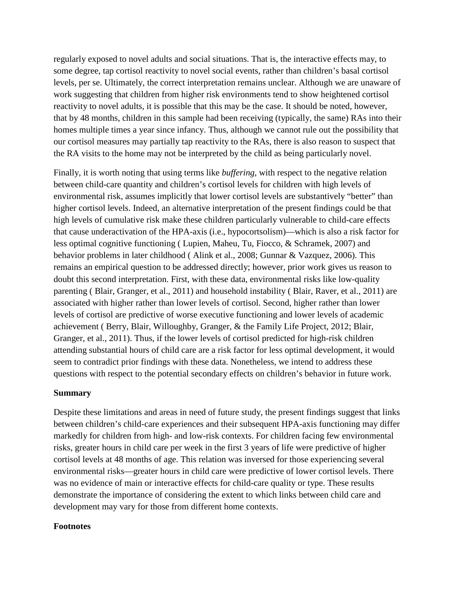regularly exposed to novel adults and social situations. That is, the interactive effects may, to some degree, tap cortisol reactivity to novel social events, rather than children's basal cortisol levels, per se. Ultimately, the correct interpretation remains unclear. Although we are unaware of work suggesting that children from higher risk environments tend to show heightened cortisol reactivity to novel adults, it is possible that this may be the case. It should be noted, however, that by 48 months, children in this sample had been receiving (typically, the same) RAs into their homes multiple times a year since infancy. Thus, although we cannot rule out the possibility that our cortisol measures may partially tap reactivity to the RAs, there is also reason to suspect that the RA visits to the home may not be interpreted by the child as being particularly novel.

Finally, it is worth noting that using terms like *buffering*, with respect to the negative relation between child-care quantity and children's cortisol levels for children with high levels of environmental risk, assumes implicitly that lower cortisol levels are substantively "better" than higher cortisol levels. Indeed, an alternative interpretation of the present findings could be that high levels of cumulative risk make these children particularly vulnerable to child-care effects that cause underactivation of the HPA-axis (i.e., hypocortsolism)—which is also a risk factor for less optimal cognitive functioning ( Lupien, Maheu, Tu, Fiocco, & Schramek, 2007) and behavior problems in later childhood ( Alink et al., 2008; Gunnar & Vazquez, 2006). This remains an empirical question to be addressed directly; however, prior work gives us reason to doubt this second interpretation. First, with these data, environmental risks like low-quality parenting ( Blair, Granger, et al., 2011) and household instability ( Blair, Raver, et al., 2011) are associated with higher rather than lower levels of cortisol. Second, higher rather than lower levels of cortisol are predictive of worse executive functioning and lower levels of academic achievement ( Berry, Blair, Willoughby, Granger, & the Family Life Project, 2012; Blair, Granger, et al., 2011). Thus, if the lower levels of cortisol predicted for high-risk children attending substantial hours of child care are a risk factor for less optimal development, it would seem to contradict prior findings with these data. Nonetheless, we intend to address these questions with respect to the potential secondary effects on children's behavior in future work.

## **Summary**

Despite these limitations and areas in need of future study, the present findings suggest that links between children's child-care experiences and their subsequent HPA-axis functioning may differ markedly for children from high- and low-risk contexts. For children facing few environmental risks, greater hours in child care per week in the first 3 years of life were predictive of higher cortisol levels at 48 months of age. This relation was inversed for those experiencing several environmental risks—greater hours in child care were predictive of lower cortisol levels. There was no evidence of main or interactive effects for child-care quality or type. These results demonstrate the importance of considering the extent to which links between child care and development may vary for those from different home contexts.

#### **Footnotes**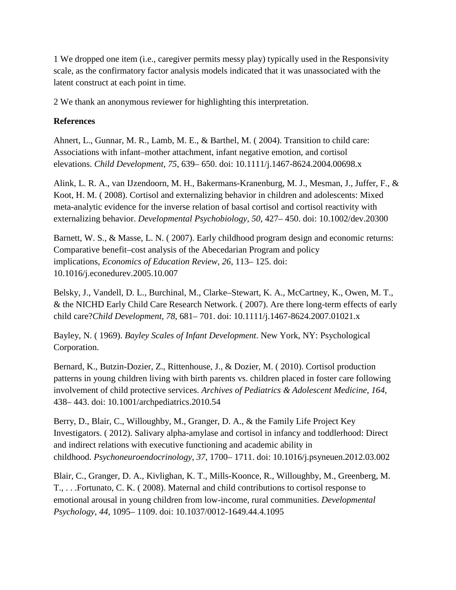1 We dropped one item (i.e., caregiver permits messy play) typically used in the Responsivity scale, as the confirmatory factor analysis models indicated that it was unassociated with the latent construct at each point in time.

2 We thank an anonymous reviewer for highlighting this interpretation.

# **References**

Ahnert, L., Gunnar, M. R., Lamb, M. E., & Barthel, M. ( 2004). Transition to child care: Associations with infant–mother attachment, infant negative emotion, and cortisol elevations. *Child Development*, *75*, 639– 650. doi: 10.1111/j.1467-8624.2004.00698.x

Alink, L. R. A., van IJzendoorn, M. H., Bakermans-Kranenburg, M. J., Mesman, J., Juffer, F., & Koot, H. M. ( 2008). Cortisol and externalizing behavior in children and adolescents: Mixed meta-analytic evidence for the inverse relation of basal cortisol and cortisol reactivity with externalizing behavior. *Developmental Psychobiology*, *50*, 427– 450. doi: 10.1002/dev.20300

Barnett, W. S., & Masse, L. N. ( 2007). Early childhood program design and economic returns: Comparative benefit–cost analysis of the Abecedarian Program and policy implications, *Economics of Education Review*, *26*, 113– 125. doi: 10.1016/j.econedurev.2005.10.007

Belsky, J., Vandell, D. L., Burchinal, M., Clarke–Stewart, K. A., McCartney, K., Owen, M. T., & the NICHD Early Child Care Research Network. ( 2007). Are there long-term effects of early child care?*Child Development*, *78*, 681– 701. doi: 10.1111/j.1467-8624.2007.01021.x

Bayley, N. ( 1969). *Bayley Scales of Infant Development*. New York, NY: Psychological Corporation.

Bernard, K., Butzin-Dozier, Z., Rittenhouse, J., & Dozier, M. ( 2010). Cortisol production patterns in young children living with birth parents vs. children placed in foster care following involvement of child protective services. *Archives of Pediatrics & Adolescent Medicine*, *164*, 438– 443. doi: 10.1001/archpediatrics.2010.54

Berry, D., Blair, C., Willoughby, M., Granger, D. A., & the Family Life Project Key Investigators. ( 2012). Salivary alpha-amylase and cortisol in infancy and toddlerhood: Direct and indirect relations with executive functioning and academic ability in childhood. *Psychoneuroendocrinology*, *37*, 1700– 1711. doi: 10.1016/j.psyneuen.2012.03.002

Blair, C., Granger, D. A., Kivlighan, K. T., Mills-Koonce, R., Willoughby, M., Greenberg, M. T., . . .Fortunato, C. K. ( 2008). Maternal and child contributions to cortisol response to emotional arousal in young children from low-income, rural communities. *Developmental Psychology*, *44*, 1095– 1109. doi: 10.1037/0012-1649.44.4.1095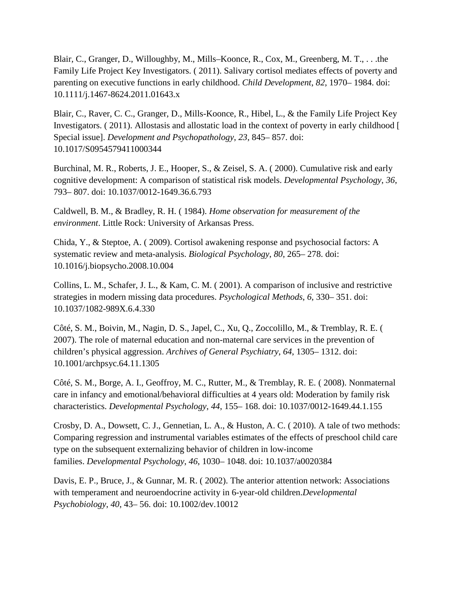Blair, C., Granger, D., Willoughby, M., Mills–Koonce, R., Cox, M., Greenberg, M. T., . . .the Family Life Project Key Investigators. ( 2011). Salivary cortisol mediates effects of poverty and parenting on executive functions in early childhood. *Child Development*, *82*, 1970– 1984. doi: 10.1111/j.1467-8624.2011.01643.x

Blair, C., Raver, C. C., Granger, D., Mills-Koonce, R., Hibel, L., & the Family Life Project Key Investigators. ( 2011). Allostasis and allostatic load in the context of poverty in early childhood [ Special issue]. *Development and Psychopathology*, *23*, 845– 857. doi: 10.1017/S0954579411000344

Burchinal, M. R., Roberts, J. E., Hooper, S., & Zeisel, S. A. ( 2000). Cumulative risk and early cognitive development: A comparison of statistical risk models. *Developmental Psychology*, *36*, 793– 807. doi: 10.1037/0012-1649.36.6.793

Caldwell, B. M., & Bradley, R. H. ( 1984). *Home observation for measurement of the environment*. Little Rock: University of Arkansas Press.

Chida, Y., & Steptoe, A. ( 2009). Cortisol awakening response and psychosocial factors: A systematic review and meta-analysis. *Biological Psychology*, *80*, 265– 278. doi: 10.1016/j.biopsycho.2008.10.004

Collins, L. M., Schafer, J. L., & Kam, C. M. ( 2001). A comparison of inclusive and restrictive strategies in modern missing data procedures. *Psychological Methods*, *6*, 330– 351. doi: 10.1037/1082-989X.6.4.330

Côté, S. M., Boivin, M., Nagin, D. S., Japel, C., Xu, Q., Zoccolillo, M., & Tremblay, R. E. ( 2007). The role of maternal education and non-maternal care services in the prevention of children's physical aggression. *Archives of General Psychiatry*, *64*, 1305– 1312. doi: 10.1001/archpsyc.64.11.1305

Côté, S. M., Borge, A. I., Geoffroy, M. C., Rutter, M., & Tremblay, R. E. ( 2008). Nonmaternal care in infancy and emotional/behavioral difficulties at 4 years old: Moderation by family risk characteristics. *Developmental Psychology*, *44*, 155– 168. doi: 10.1037/0012-1649.44.1.155

Crosby, D. A., Dowsett, C. J., Gennetian, L. A., & Huston, A. C. ( 2010). A tale of two methods: Comparing regression and instrumental variables estimates of the effects of preschool child care type on the subsequent externalizing behavior of children in low-income families. *Developmental Psychology*, *46*, 1030– 1048. doi: 10.1037/a0020384

Davis, E. P., Bruce, J., & Gunnar, M. R. ( 2002). The anterior attention network: Associations with temperament and neuroendocrine activity in 6-year-old children.*Developmental Psychobiology*, *40*, 43– 56. doi: 10.1002/dev.10012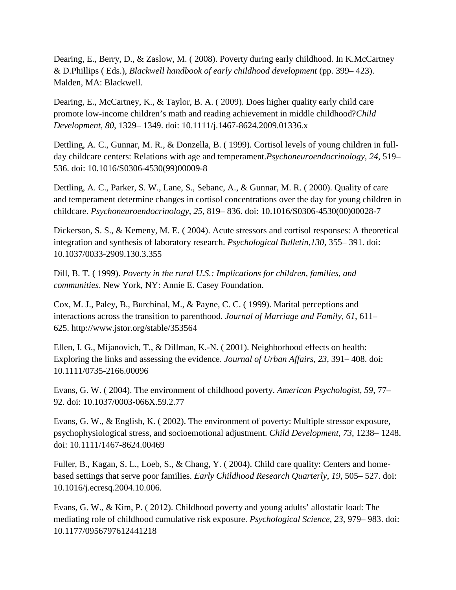Dearing, E., Berry, D., & Zaslow, M. ( 2008). Poverty during early childhood. In K.McCartney & D.Phillips ( Eds.), *Blackwell handbook of early childhood development* (pp. 399– 423). Malden, MA: Blackwell.

Dearing, E., McCartney, K., & Taylor, B. A. ( 2009). Does higher quality early child care promote low-income children's math and reading achievement in middle childhood?*Child Development*, *80*, 1329– 1349. doi: 10.1111/j.1467-8624.2009.01336.x

Dettling, A. C., Gunnar, M. R., & Donzella, B. ( 1999). Cortisol levels of young children in fullday childcare centers: Relations with age and temperament.*Psychoneuroendocrinology*, *24*, 519– 536. doi: 10.1016/S0306-4530(99)00009-8

Dettling, A. C., Parker, S. W., Lane, S., Sebanc, A., & Gunnar, M. R. ( 2000). Quality of care and temperament determine changes in cortisol concentrations over the day for young children in childcare. *Psychoneuroendocrinology*, *25*, 819– 836. doi: 10.1016/S0306-4530(00)00028-7

Dickerson, S. S., & Kemeny, M. E. ( 2004). Acute stressors and cortisol responses: A theoretical integration and synthesis of laboratory research. *Psychological Bulletin*,*130*, 355– 391. doi: 10.1037/0033-2909.130.3.355

Dill, B. T. ( 1999). *Poverty in the rural U.S.: Implications for children, families, and communities*. New York, NY: Annie E. Casey Foundation.

Cox, M. J., Paley, B., Burchinal, M., & Payne, C. C. ( 1999). Marital perceptions and interactions across the transition to parenthood. *Journal of Marriage and Family*, *61*, 611– 625. http://www.jstor.org/stable/353564

Ellen, I. G., Mijanovich, T., & Dillman, K.-N. ( 2001). Neighborhood effects on health: Exploring the links and assessing the evidence. *Journal of Urban Affairs*, *23*, 391– 408. doi: 10.1111/0735-2166.00096

Evans, G. W. ( 2004). The environment of childhood poverty. *American Psychologist*, *59*, 77– 92. doi: 10.1037/0003-066X.59.2.77

Evans, G. W., & English, K. ( 2002). The environment of poverty: Multiple stressor exposure, psychophysiological stress, and socioemotional adjustment. *Child Development*, *73*, 1238– 1248. doi: 10.1111/1467-8624.00469

Fuller, B., Kagan, S. L., Loeb, S., & Chang, Y. ( 2004). Child care quality: Centers and homebased settings that serve poor families. *Early Childhood Research Quarterly*, *19*, 505– 527. doi: 10.1016/j.ecresq.2004.10.006.

Evans, G. W., & Kim, P. ( 2012). Childhood poverty and young adults' allostatic load: The mediating role of childhood cumulative risk exposure. *Psychological Science*, *23*, 979– 983. doi: 10.1177/0956797612441218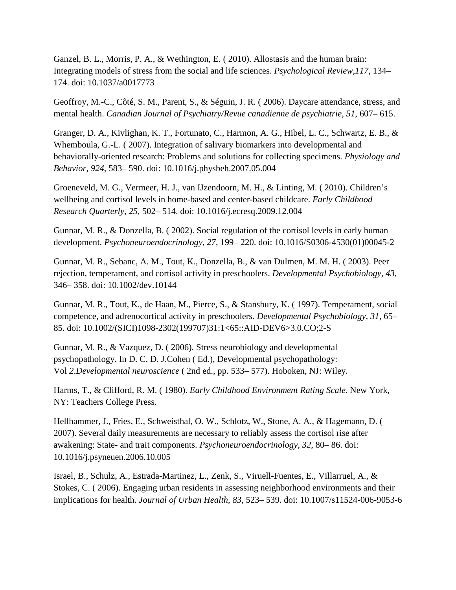Ganzel, B. L., Morris, P. A., & Wethington, E. (2010). Allostasis and the human brain: Integrating models of stress from the social and life sciences. *Psychological Review*,*117*, 134– 174. doi: 10.1037/a0017773

Geoffroy, M.-C., Côté, S. M., Parent, S., & Séguin, J. R. ( 2006). Daycare attendance, stress, and mental health. *Canadian Journal of Psychiatry/Revue canadienne de psychiatrie*, *51*, 607– 615.

Granger, D. A., Kivlighan, K. T., Fortunato, C., Harmon, A. G., Hibel, L. C., Schwartz, E. B., & Whemboula, G.-L. ( 2007). Integration of salivary biomarkers into developmental and behaviorally-oriented research: Problems and solutions for collecting specimens. *Physiology and Behavior*, *924*, 583– 590. doi: 10.1016/j.physbeh.2007.05.004

Groeneveld, M. G., Vermeer, H. J., van IJzendoorn, M. H., & Linting, M. ( 2010). Children's wellbeing and cortisol levels in home-based and center-based childcare. *Early Childhood Research Quarterly*, *25*, 502– 514. doi: 10.1016/j.ecresq.2009.12.004

Gunnar, M. R., & Donzella, B. ( 2002). Social regulation of the cortisol levels in early human development. *Psychoneuroendocrinology*, *27*, 199– 220. doi: 10.1016/S0306-4530(01)00045-2

Gunnar, M. R., Sebanc, A. M., Tout, K., Donzella, B., & van Dulmen, M. M. H. ( 2003). Peer rejection, temperament, and cortisol activity in preschoolers. *Developmental Psychobiology*, *43*, 346– 358. doi: 10.1002/dev.10144

Gunnar, M. R., Tout, K., de Haan, M., Pierce, S., & Stansbury, K. ( 1997). Temperament, social competence, and adrenocortical activity in preschoolers. *Developmental Psychobiology*, *31*, 65– 85. doi: 10.1002/(SICI)1098-2302(199707)31:1<65::AID-DEV6>3.0.CO;2-S

Gunnar, M. R., & Vazquez, D. ( 2006). Stress neurobiology and developmental psychopathology. In D. C. D. J.Cohen ( Ed.), Developmental psychopathology: Vol *2*.*Developmental neuroscience* ( 2nd ed., pp. 533– 577). Hoboken, NJ: Wiley.

Harms, T., & Clifford, R. M. ( 1980). *Early Childhood Environment Rating Scale*. New York, NY: Teachers College Press.

Hellhammer, J., Fries, E., Schweisthal, O. W., Schlotz, W., Stone, A. A., & Hagemann, D. ( 2007). Several daily measurements are necessary to reliably assess the cortisol rise after awakening: State- and trait components. *Psychoneuroendocrinology*, *32*, 80– 86. doi: 10.1016/j.psyneuen.2006.10.005

Israel, B., Schulz, A., Estrada-Martinez, L., Zenk, S., Viruell-Fuentes, E., Villarruel, A., & Stokes, C. ( 2006). Engaging urban residents in assessing neighborhood environments and their implications for health. *Journal of Urban Health*, *83*, 523– 539. doi: 10.1007/s11524-006-9053-6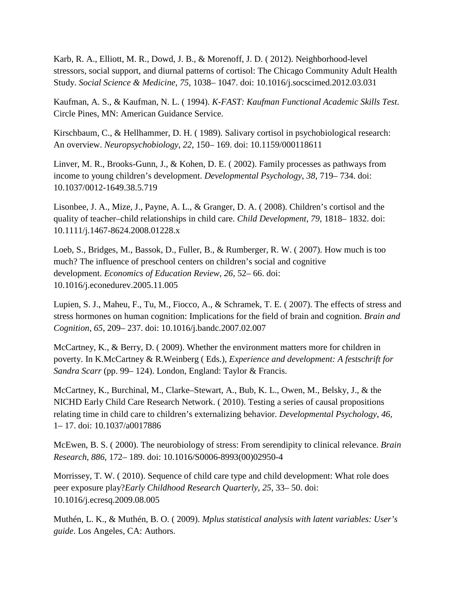Karb, R. A., Elliott, M. R., Dowd, J. B., & Morenoff, J. D. ( 2012). Neighborhood-level stressors, social support, and diurnal patterns of cortisol: The Chicago Community Adult Health Study. *Social Science & Medicine*, *75*, 1038– 1047. doi: 10.1016/j.socscimed.2012.03.031

Kaufman, A. S., & Kaufman, N. L. ( 1994). *K-FAST: Kaufman Functional Academic Skills Test*. Circle Pines, MN: American Guidance Service.

Kirschbaum, C., & Hellhammer, D. H. ( 1989). Salivary cortisol in psychobiological research: An overview. *Neuropsychobiology*, *22*, 150– 169. doi: 10.1159/000118611

Linver, M. R., Brooks-Gunn, J., & Kohen, D. E. ( 2002). Family processes as pathways from income to young children's development. *Developmental Psychology*, *38*, 719– 734. doi: 10.1037/0012-1649.38.5.719

Lisonbee, J. A., Mize, J., Payne, A. L., & Granger, D. A. ( 2008). Children's cortisol and the quality of teacher–child relationships in child care. *Child Development*, *79*, 1818– 1832. doi: 10.1111/j.1467-8624.2008.01228.x

Loeb, S., Bridges, M., Bassok, D., Fuller, B., & Rumberger, R. W. ( 2007). How much is too much? The influence of preschool centers on children's social and cognitive development. *Economics of Education Review*, *26*, 52– 66. doi: 10.1016/j.econedurev.2005.11.005

Lupien, S. J., Maheu, F., Tu, M., Fiocco, A., & Schramek, T. E. ( 2007). The effects of stress and stress hormones on human cognition: Implications for the field of brain and cognition. *Brain and Cognition*, *65*, 209– 237. doi: 10.1016/j.bandc.2007.02.007

McCartney, K., & Berry, D. ( 2009). Whether the environment matters more for children in poverty. In K.McCartney & R.Weinberg ( Eds.), *Experience and development: A festschrift for Sandra Scarr* (pp. 99– 124). London, England: Taylor & Francis.

McCartney, K., Burchinal, M., Clarke–Stewart, A., Bub, K. L., Owen, M., Belsky, J., & the NICHD Early Child Care Research Network. ( 2010). Testing a series of causal propositions relating time in child care to children's externalizing behavior. *Developmental Psychology*, *46*, 1– 17. doi: 10.1037/a0017886

McEwen, B. S. ( 2000). The neurobiology of stress: From serendipity to clinical relevance. *Brain Research*, *886*, 172– 189. doi: 10.1016/S0006-8993(00)02950-4

Morrissey, T. W. ( 2010). Sequence of child care type and child development: What role does peer exposure play?*Early Childhood Research Quarterly*, *25*, 33– 50. doi: 10.1016/j.ecresq.2009.08.005

Muthén, L. K., & Muthén, B. O. ( 2009). *Mplus statistical analysis with latent variables: User's guide*. Los Angeles, CA: Authors.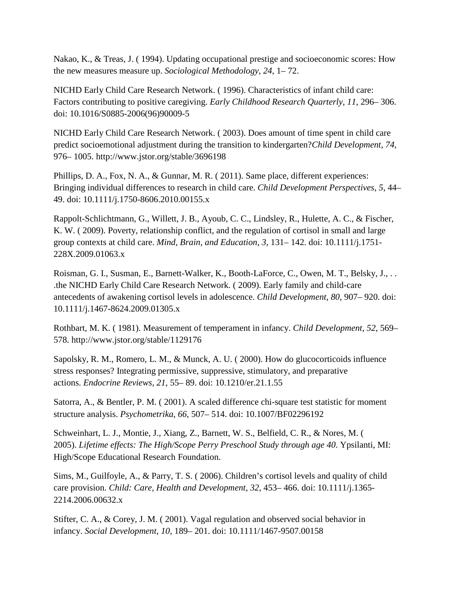Nakao, K., & Treas, J. ( 1994). Updating occupational prestige and socioeconomic scores: How the new measures measure up. *Sociological Methodology*, *24*, 1– 72.

NICHD Early Child Care Research Network. ( 1996). Characteristics of infant child care: Factors contributing to positive caregiving. *Early Childhood Research Quarterly*, *11*, 296– 306. doi: 10.1016/S0885-2006(96)90009-5

NICHD Early Child Care Research Network. ( 2003). Does amount of time spent in child care predict socioemotional adjustment during the transition to kindergarten?*Child Development*, *74*, 976– 1005. http://www.jstor.org/stable/3696198

Phillips, D. A., Fox, N. A., & Gunnar, M. R. ( 2011). Same place, different experiences: Bringing individual differences to research in child care. *Child Development Perspectives*, *5*, 44– 49. doi: 10.1111/j.1750-8606.2010.00155.x

Rappolt-Schlichtmann, G., Willett, J. B., Ayoub, C. C., Lindsley, R., Hulette, A. C., & Fischer, K. W. ( 2009). Poverty, relationship conflict, and the regulation of cortisol in small and large group contexts at child care. *Mind, Brain, and Education*, *3*, 131– 142. doi: 10.1111/j.1751- 228X.2009.01063.x

Roisman, G. I., Susman, E., Barnett-Walker, K., Booth-LaForce, C., Owen, M. T., Belsky, J., . . .the NICHD Early Child Care Research Network. ( 2009). Early family and child-care antecedents of awakening cortisol levels in adolescence. *Child Development*, *80*, 907– 920. doi: 10.1111/j.1467-8624.2009.01305.x

Rothbart, M. K. ( 1981). Measurement of temperament in infancy. *Child Development*, *52*, 569– 578. http://www.jstor.org/stable/1129176

Sapolsky, R. M., Romero, L. M., & Munck, A. U. ( 2000). How do glucocorticoids influence stress responses? Integrating permissive, suppressive, stimulatory, and preparative actions. *Endocrine Reviews*, *21*, 55– 89. doi: 10.1210/er.21.1.55

Satorra, A., & Bentler, P. M. ( 2001). A scaled difference chi-square test statistic for moment structure analysis. *Psychometrika*, *66*, 507– 514. doi: 10.1007/BF02296192

Schweinhart, L. J., Montie, J., Xiang, Z., Barnett, W. S., Belfield, C. R., & Nores, M. ( 2005). *Lifetime effects: The High/Scope Perry Preschool Study through age 40*. Ypsilanti, MI: High/Scope Educational Research Foundation.

Sims, M., Guilfoyle, A., & Parry, T. S. ( 2006). Children's cortisol levels and quality of child care provision. *Child: Care, Health and Development*, *32*, 453– 466. doi: 10.1111/j.1365- 2214.2006.00632.x

Stifter, C. A., & Corey, J. M. ( 2001). Vagal regulation and observed social behavior in infancy. *Social Development*, *10*, 189– 201. doi: 10.1111/1467-9507.00158